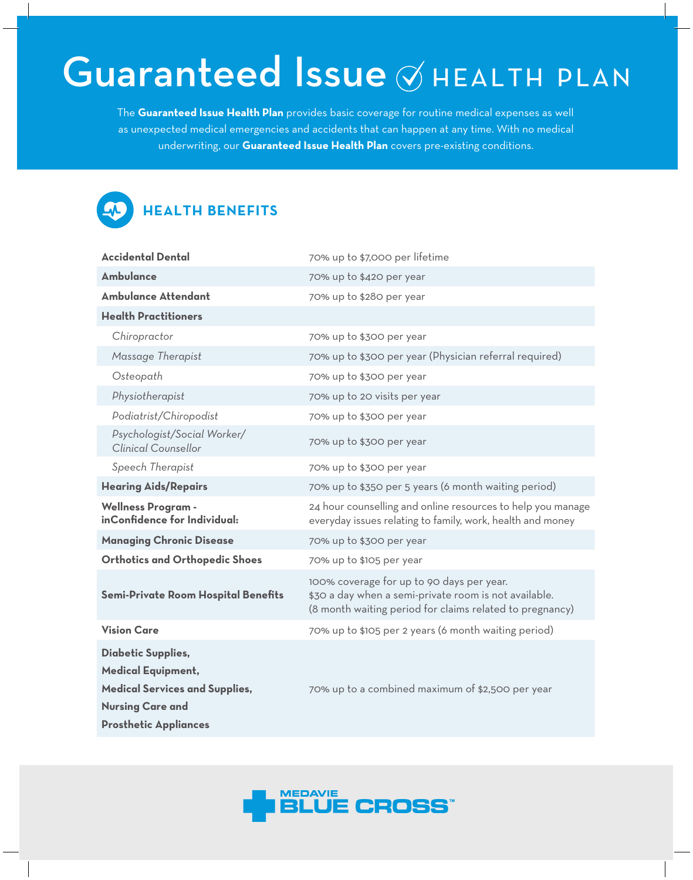# Guaranteed Issue ØHEALTH PLAN

The **Guaranteed Issue Health Plan** provides basic coverage for routine medical expenses as well as unexpected medical emergencies and accidents that can happen at any time. With no medical underwriting, our **Guaranteed Issue Health Plan** covers pre-existing conditions.



## **HEALTH BENEFITS**

| <b>Accidental Dental</b>                                                                                                                                   | 70% up to \$7,000 per lifetime                                                                                                                                 |
|------------------------------------------------------------------------------------------------------------------------------------------------------------|----------------------------------------------------------------------------------------------------------------------------------------------------------------|
| <b>Ambulance</b>                                                                                                                                           | 70% up to \$420 per year                                                                                                                                       |
| <b>Ambulance Attendant</b>                                                                                                                                 | 70% up to \$280 per year                                                                                                                                       |
| <b>Health Practitioners</b>                                                                                                                                |                                                                                                                                                                |
| Chiropractor                                                                                                                                               | 70% up to \$300 per year                                                                                                                                       |
| Massage Therapist                                                                                                                                          | 70% up to \$300 per year (Physician referral required)                                                                                                         |
| Osteopath                                                                                                                                                  | 70% up to \$300 per year                                                                                                                                       |
| Physiotherapist                                                                                                                                            | 70% up to 20 visits per year                                                                                                                                   |
| Podiatrist/Chiropodist                                                                                                                                     | 70% up to \$300 per year                                                                                                                                       |
| Psychologist/Social Worker/<br><b>Clinical Counsellor</b>                                                                                                  | 70% up to \$300 per year                                                                                                                                       |
| Speech Therapist                                                                                                                                           | 70% up to \$300 per year                                                                                                                                       |
| <b>Hearing Aids/Repairs</b>                                                                                                                                | 70% up to \$350 per 5 years (6 month waiting period)                                                                                                           |
| <b>Wellness Program -</b><br>inConfidence for Individual:                                                                                                  | 24 hour counselling and online resources to help you manage<br>everyday issues relating to family, work, health and money                                      |
| <b>Managing Chronic Disease</b>                                                                                                                            | 70% up to \$300 per year                                                                                                                                       |
| <b>Orthotics and Orthopedic Shoes</b>                                                                                                                      | 70% up to \$105 per year                                                                                                                                       |
| Semi-Private Room Hospital Benefits                                                                                                                        | 100% coverage for up to 90 days per year.<br>\$30 a day when a semi-private room is not available.<br>(8 month waiting period for claims related to pregnancy) |
| <b>Vision Care</b>                                                                                                                                         | 70% up to \$105 per 2 years (6 month waiting period)                                                                                                           |
| <b>Diabetic Supplies,</b><br><b>Medical Equipment,</b><br><b>Medical Services and Supplies,</b><br><b>Nursing Care and</b><br><b>Prosthetic Appliances</b> | 70% up to a combined maximum of \$2,500 per year                                                                                                               |